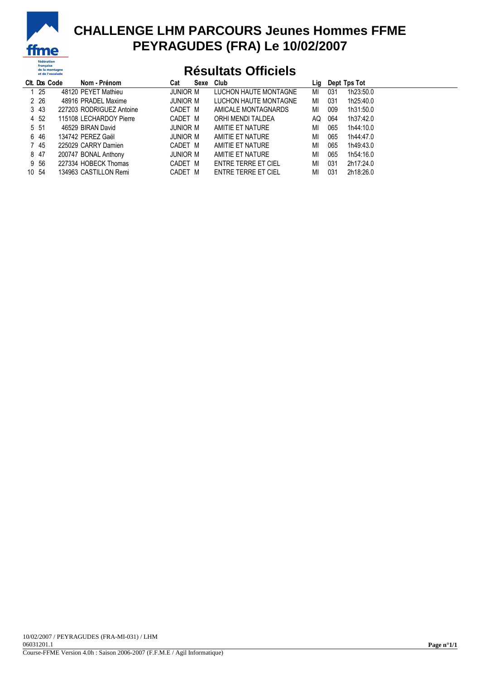

## **CHALLENGE LHM PARCOURS Jeunes Hommes FFME PEYRAGUDES (FRA) Le 10/02/2007**

## **Résultats Officiels**

|       | Cit. Dos Code | Nom - Prénom             | Cat      | Sexe | Club                  | Lig |     | Dept Tps Tot |
|-------|---------------|--------------------------|----------|------|-----------------------|-----|-----|--------------|
| 1 25  |               | 48120 PEYET Mathieu      | JUNIOR M |      | LUCHON HAUTE MONTAGNE | MI  | 031 | 1h23:50.0    |
| 2 2 6 |               | 48916 PRADEL Maxime      | JUNIOR M |      | LUCHON HAUTE MONTAGNE | MI  | 031 | 1h25:40.0    |
| 3 4 3 |               | 227203 RODRIGUEZ Antoine | CADET M  |      | AMICALE MONTAGNARDS   | МI  | 009 | 1h31:50.0    |
| 4 52  |               | 115108 LECHARDOY Pierre  | CADET M  |      | ORHI MENDI TALDEA     | AQ  | 064 | 1h37:42.0    |
| 5 51  |               | 46529 BIRAN David        | JUNIOR M |      | AMITIE ET NATURE      | MI  | 065 | 1h44:10.0    |
| 6 46  |               | 134742 PEREZ Gaël        | JUNIOR M |      | AMITIE ET NATURE      | МI  | 065 | 1h44:47.0    |
| 7 45  |               | 225029 CARRY Damien      | CADET M  |      | AMITIE ET NATURE      | МI  | 065 | 1h49:43.0    |
| 8 47  |               | 200747 BONAL Anthony     | JUNIOR M |      | AMITIE ET NATURE      | MI  | 065 | 1h54:16.0    |
| 9 56  |               | 227334 HOBECK Thomas     | CADET M  |      | ENTRE TERRE ET CIEL   | MI  | 031 | 2h17:24.0    |
| 10 54 |               | 134963 CASTILLON Remi    | CADET M  |      | ENTRE TERRE ET CIEL   | МI  | 031 | 2h18:26.0    |